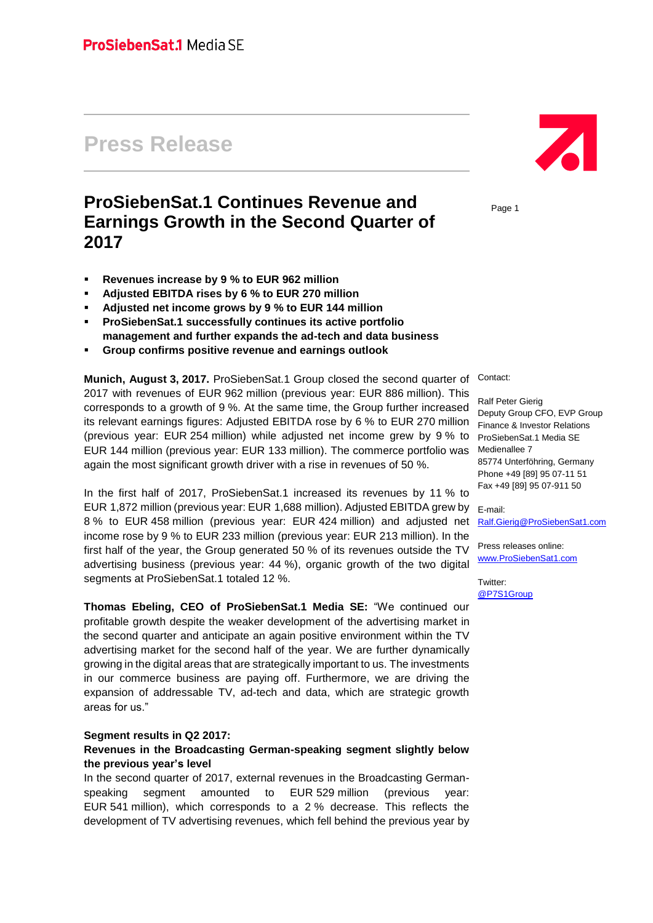# **Press Release**

## **ProSiebenSat.1 Continues Revenue and Earnings Growth in the Second Quarter of 2017**

- **Revenues increase by 9 % to EUR 962 million**
- **Adjusted EBITDA rises by 6 % to EUR 270 million**
- **Adjusted net income grows by 9 % to EUR 144 million**
- **ProSiebenSat.1 successfully continues its active portfolio management and further expands the ad-tech and data business**
- **Group confirms positive revenue and earnings outlook**

**Munich, August 3, 2017.** ProSiebenSat.1 Group closed the second quarter of 2017 with revenues of EUR 962 million (previous year: EUR 886 million). This corresponds to a growth of 9 %. At the same time, the Group further increased its relevant earnings figures: Adjusted EBITDA rose by 6 % to EUR 270 million (previous year: EUR 254 million) while adjusted net income grew by 9 % to EUR 144 million (previous year: EUR 133 million). The commerce portfolio was again the most significant growth driver with a rise in revenues of 50 %.

In the first half of 2017, ProSiebenSat.1 increased its revenues by 11 % to EUR 1,872 million (previous year: EUR 1,688 million). Adjusted EBITDA grew by E-mail: 8 % to EUR 458 million (previous year: EUR 424 million) and adjusted net income rose by 9 % to EUR 233 million (previous year: EUR 213 million). In the first half of the year, the Group generated 50 % of its revenues outside the TV advertising business (previous year: 44 %), organic growth of the two digital segments at ProSiebenSat.1 totaled 12 %.

**Thomas Ebeling, CEO of ProSiebenSat.1 Media SE:** "We continued our profitable growth despite the weaker development of the advertising market in the second quarter and anticipate an again positive environment within the TV advertising market for the second half of the year. We are further dynamically growing in the digital areas that are strategically important to us. The investments in our commerce business are paying off. Furthermore, we are driving the expansion of addressable TV, ad-tech and data, which are strategic growth areas for us."

#### **Segment results in Q2 2017:**

#### **Revenues in the Broadcasting German-speaking segment slightly below the previous year's level**

In the second quarter of 2017, external revenues in the Broadcasting Germanspeaking segment amounted to EUR 529 million (previous year: EUR 541 million), which corresponds to a 2 % decrease. This reflects the development of TV advertising revenues, which fell behind the previous year by



Page 1

Contact:

Ralf Peter Gierig Deputy Group CFO, EVP Group Finance & Investor Relations ProSiebenSat.1 Media SE Medienallee 7 85774 Unterföhring, Germany Phone +49 [89] 95 07-11 51 Fax +49 [89] 95 07-911 50

[Ralf.Gierig@ProSiebenSat1.com](mailto:Ralf.Gierig@prosiebensat1.com)

Press releases online: [www.ProSiebenSat1.com](http://www.prosiebensat1.com/)

Twitter: [@P7S1Group](https://twitter.com/P7S1Group)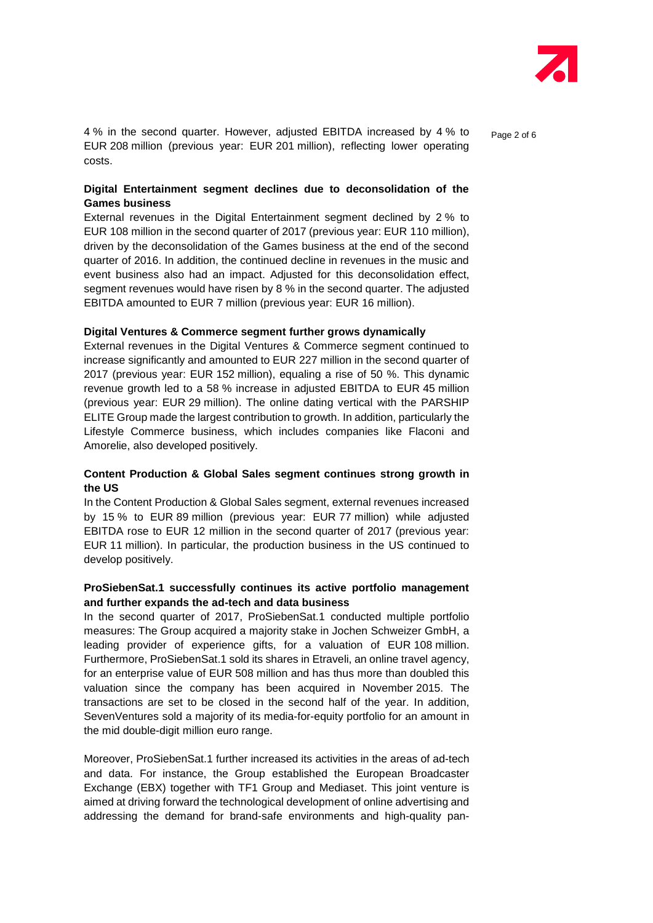

4 % in the second quarter. However, adjusted EBITDA increased by 4 % to page 2 of 6 EUR 208 million (previous year: EUR 201 million), reflecting lower operating costs.

#### **Digital Entertainment segment declines due to deconsolidation of the Games business**

External revenues in the Digital Entertainment segment declined by 2 % to EUR 108 million in the second quarter of 2017 (previous year: EUR 110 million), driven by the deconsolidation of the Games business at the end of the second quarter of 2016. In addition, the continued decline in revenues in the music and event business also had an impact. Adjusted for this deconsolidation effect, segment revenues would have risen by 8 % in the second quarter. The adjusted EBITDA amounted to EUR 7 million (previous year: EUR 16 million).

#### **Digital Ventures & Commerce segment further grows dynamically**

External revenues in the Digital Ventures & Commerce segment continued to increase significantly and amounted to EUR 227 million in the second quarter of 2017 (previous year: EUR 152 million), equaling a rise of 50 %. This dynamic revenue growth led to a 58 % increase in adjusted EBITDA to EUR 45 million (previous year: EUR 29 million). The online dating vertical with the PARSHIP ELITE Group made the largest contribution to growth. In addition, particularly the Lifestyle Commerce business, which includes companies like Flaconi and Amorelie, also developed positively.

#### **Content Production & Global Sales segment continues strong growth in the US**

In the Content Production & Global Sales segment, external revenues increased by 15 % to EUR 89 million (previous year: EUR 77 million) while adjusted EBITDA rose to EUR 12 million in the second quarter of 2017 (previous year: EUR 11 million). In particular, the production business in the US continued to develop positively.

#### **ProSiebenSat.1 successfully continues its active portfolio management and further expands the ad-tech and data business**

In the second quarter of 2017, ProSiebenSat.1 conducted multiple portfolio measures: The Group acquired a majority stake in Jochen Schweizer GmbH, a leading provider of experience gifts, for a valuation of EUR 108 million. Furthermore, ProSiebenSat.1 sold its shares in Etraveli, an online travel agency, for an enterprise value of EUR 508 million and has thus more than doubled this valuation since the company has been acquired in November 2015. The transactions are set to be closed in the second half of the year. In addition, SevenVentures sold a majority of its media-for-equity portfolio for an amount in the mid double-digit million euro range.

Moreover, ProSiebenSat.1 further increased its activities in the areas of ad-tech and data. For instance, the Group established the European Broadcaster Exchange (EBX) together with TF1 Group and Mediaset. This joint venture is aimed at driving forward the technological development of online advertising and addressing the demand for brand-safe environments and high-quality pan-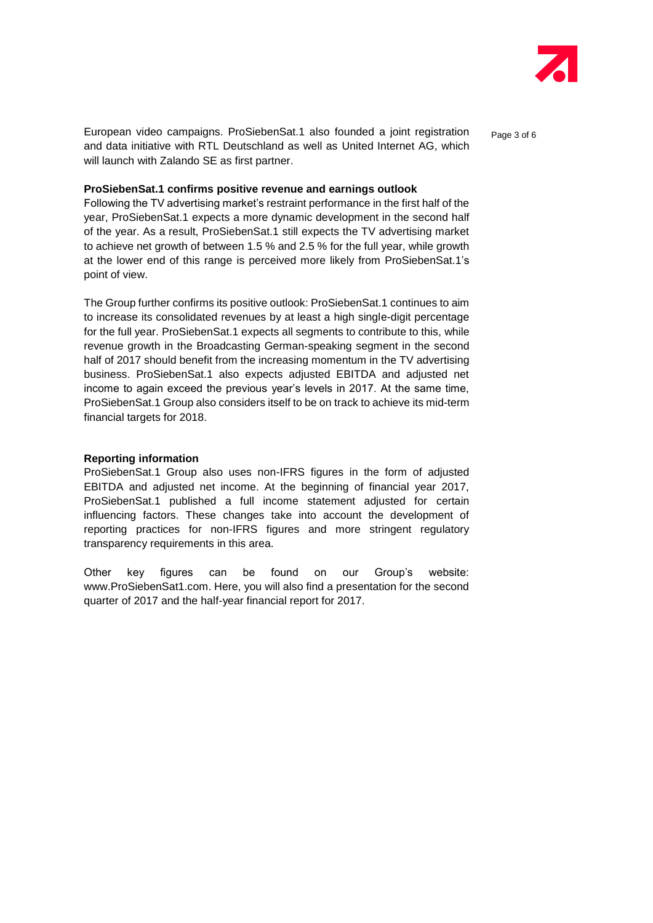

European video campaigns. ProSiebenSat.1 also founded a joint registration and page 3 of 6 and data initiative with RTL Deutschland as well as United Internet AG, which will launch with Zalando SE as first partner.

#### **ProSiebenSat.1 confirms positive revenue and earnings outlook**

Following the TV advertising market's restraint performance in the first half of the year, ProSiebenSat.1 expects a more dynamic development in the second half of the year. As a result, ProSiebenSat.1 still expects the TV advertising market to achieve net growth of between 1.5 % and 2.5 % for the full year, while growth at the lower end of this range is perceived more likely from ProSiebenSat.1's point of view.

The Group further confirms its positive outlook: ProSiebenSat.1 continues to aim to increase its consolidated revenues by at least a high single-digit percentage for the full year. ProSiebenSat.1 expects all segments to contribute to this, while revenue growth in the Broadcasting German-speaking segment in the second half of 2017 should benefit from the increasing momentum in the TV advertising business. ProSiebenSat.1 also expects adjusted EBITDA and adjusted net income to again exceed the previous year's levels in 2017. At the same time, ProSiebenSat.1 Group also considers itself to be on track to achieve its mid-term financial targets for 2018.

#### **Reporting information**

ProSiebenSat.1 Group also uses non-IFRS figures in the form of adjusted EBITDA and adjusted net income. At the beginning of financial year 2017, ProSiebenSat.1 published a full income statement adjusted for certain influencing factors. These changes take into account the development of reporting practices for non-IFRS figures and more stringent regulatory transparency requirements in this area.

Other key figures can be found on our Group's website: www.ProSiebenSat1.com. Here, you will also find a presentation for the second quarter of 2017 and the half-year financial report for 2017.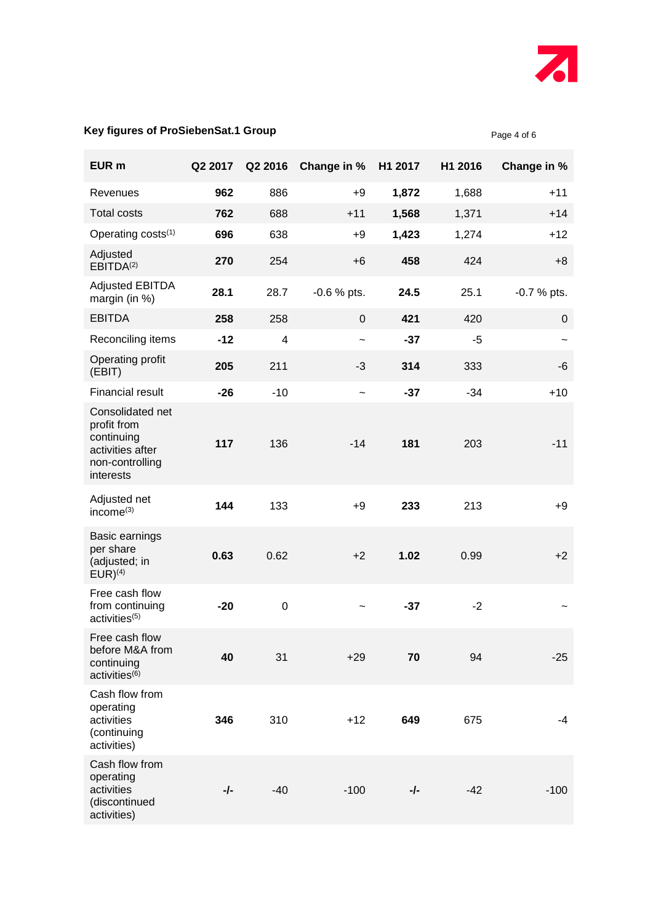

Page 4 of 6

### **Key figures of ProSiebenSat.1 Group**

| EUR <sub>m</sub>                                                                                  | Q2 2017 | Q2 2016          | Change in %           | H1 2017 | H1 2016 | Change in %               |
|---------------------------------------------------------------------------------------------------|---------|------------------|-----------------------|---------|---------|---------------------------|
| Revenues                                                                                          | 962     | 886              | $+9$                  | 1,872   | 1,688   | $+11$                     |
| <b>Total costs</b>                                                                                | 762     | 688              | $+11$                 | 1,568   | 1,371   | $+14$                     |
| Operating costs <sup>(1)</sup>                                                                    | 696     | 638              | $+9$                  | 1,423   | 1,274   | $+12$                     |
| Adjusted<br>EBITDA <sup>(2)</sup>                                                                 | 270     | 254              | $+6$                  | 458     | 424     | $+8$                      |
| <b>Adjusted EBITDA</b><br>margin (in %)                                                           | 28.1    | 28.7             | $-0.6$ % pts.         | 24.5    | 25.1    | $-0.7%$ pts.              |
| <b>EBITDA</b>                                                                                     | 258     | 258              | $\mathbf 0$           | 421     | 420     | 0                         |
| Reconciling items                                                                                 | $-12$   | $\overline{4}$   | $\tilde{\phantom{a}}$ | $-37$   | $-5$    | $\widetilde{\phantom{m}}$ |
| Operating profit<br>(EBIT)                                                                        | 205     | 211              | $-3$                  | 314     | 333     | -6                        |
| <b>Financial result</b>                                                                           | $-26$   | $-10$            | $\tilde{\phantom{a}}$ | $-37$   | $-34$   | $+10$                     |
| Consolidated net<br>profit from<br>continuing<br>activities after<br>non-controlling<br>interests | 117     | 136              | $-14$                 | 181     | 203     | $-11$                     |
| Adjusted net<br>income <sup>(3)</sup>                                                             | 144     | 133              | $+9$                  | 233     | 213     | $+9$                      |
| Basic earnings<br>per share<br>(adjusted; in<br>$EUR)^{(4)}$                                      | 0.63    | 0.62             | $+2$                  | 1.02    | 0.99    | $+2$                      |
| Free cash flow<br>from continuing<br>activities <sup>(5)</sup>                                    | $-20$   | $\boldsymbol{0}$ |                       | $-37$   | $-2$    |                           |
| Free cash flow<br>before M&A from<br>continuing<br>activities <sup>(6)</sup>                      | 40      | 31               | $+29$                 | 70      | 94      | $-25$                     |
| Cash flow from<br>operating<br>activities<br>(continuing<br>activities)                           | 346     | 310              | $+12$                 | 649     | 675     | -4                        |
| Cash flow from<br>operating<br>activities<br>(discontinued<br>activities)                         | -∕-     | $-40$            | $-100$                | -/-     | -42     | $-100$                    |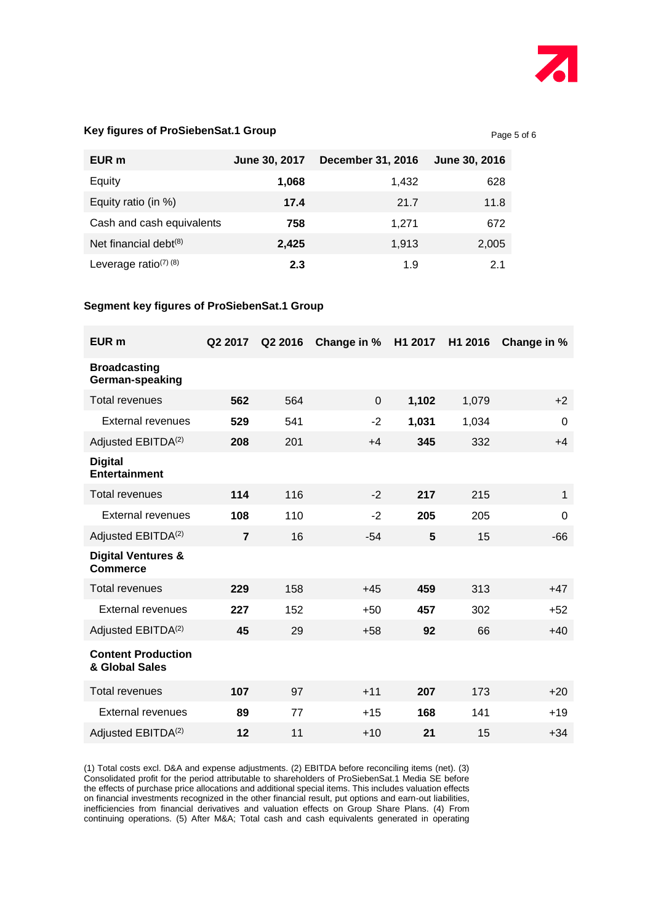

Page 5 of 6

#### **Key figures of ProSiebenSat.1 Group**

| EUR m                                            | June 30, 2017 | <b>December 31, 2016</b> | June 30, 2016 |
|--------------------------------------------------|---------------|--------------------------|---------------|
| Equity                                           | 1,068         | 1,432                    | 628           |
| Equity ratio (in %)                              | 17.4          | 21.7                     | 11.8          |
| Cash and cash equivalents                        | 758           | 1.271                    | 672           |
| Net financial debt $(8)$                         | 2,425         | 1,913                    | 2,005         |
| Leverage ratio <sup><math>(7)</math></sup> $(8)$ | 2.3           | 1.9                      | 21            |

#### **Segment key figures of ProSiebenSat.1 Group**

| EUR <sub>m</sub>                                 | Q2 2017        | Q2 2016 | Change in % | H1 2017 | H1 2016 | Change in %    |
|--------------------------------------------------|----------------|---------|-------------|---------|---------|----------------|
| <b>Broadcasting</b><br>German-speaking           |                |         |             |         |         |                |
| <b>Total revenues</b>                            | 562            | 564     | $\Omega$    | 1,102   | 1,079   | $+2$           |
| External revenues                                | 529            | 541     | $-2$        | 1,031   | 1,034   | $\overline{0}$ |
| Adjusted EBITDA <sup>(2)</sup>                   | 208            | 201     | $+4$        | 345     | 332     | $+4$           |
| <b>Digital</b><br><b>Entertainment</b>           |                |         |             |         |         |                |
| <b>Total revenues</b>                            | 114            | 116     | $-2$        | 217     | 215     | 1              |
| External revenues                                | 108            | 110     | $-2$        | 205     | 205     | $\mathbf 0$    |
| Adjusted EBITDA <sup>(2)</sup>                   | $\overline{7}$ | 16      | $-54$       | 5       | 15      | $-66$          |
| <b>Digital Ventures &amp;</b><br><b>Commerce</b> |                |         |             |         |         |                |
| <b>Total revenues</b>                            | 229            | 158     | $+45$       | 459     | 313     | $+47$          |
| External revenues                                | 227            | 152     | $+50$       | 457     | 302     | $+52$          |
| Adjusted EBITDA <sup>(2)</sup>                   | 45             | 29      | $+58$       | 92      | 66      | $+40$          |
| <b>Content Production</b><br>& Global Sales      |                |         |             |         |         |                |
| <b>Total revenues</b>                            | 107            | 97      | $+11$       | 207     | 173     | $+20$          |
| External revenues                                | 89             | 77      | $+15$       | 168     | 141     | $+19$          |
| Adjusted EBITDA <sup>(2)</sup>                   | 12             | 11      | $+10$       | 21      | 15      | $+34$          |

(1) Total costs excl. D&A and expense adjustments. (2) EBITDA before reconciling items (net). (3) Consolidated profit for the period attributable to shareholders of ProSiebenSat.1 Media SE before the effects of purchase price allocations and additional special items. This includes valuation effects on financial investments recognized in the other financial result, put options and earn-out liabilities, inefficiencies from financial derivatives and valuation effects on Group Share Plans. (4) From continuing operations. (5) After M&A; Total cash and cash equivalents generated in operating